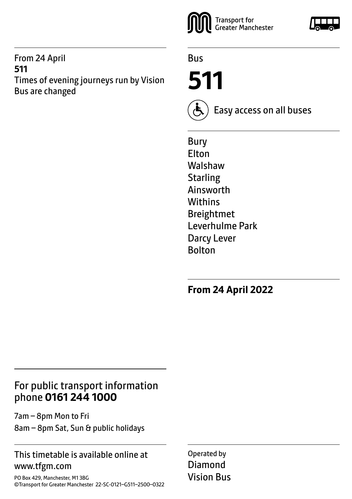#### From 24 April **511** Times of evening journeys run by Vision Bus are changed



Bus

**511**



Easy access on all buses

Bury Elton Walshaw **Starling** Ainsworth **Withins** Breightmet Leverhulme Park Darcy Lever Bolton

**From 24 April 2022**

## For public transport information phone **0161 244 1000**

7am – 8pm Mon to Fri 8am – 8pm Sat, Sun & public holidays

#### This timetable is available online at www.tfgm.com

PO Box 429, Manchester, M1 3BG ©Transport for Greater Manchester 22-SC-0121–G511–2500–0322 Operated by Diamond Vision Bus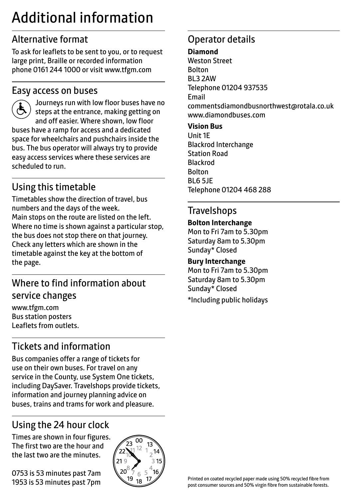## Additional information

## Alternative format

To ask for leaflets to be sent to you, or to request large print, Braille or recorded information phone 0161 244 1000 or visit www.tfgm.com

## Easy access on buses

 Journeys run with low floor buses have no steps at the entrance, making getting on and off easier. Where shown, low floor buses have a ramp for access and a dedicated space for wheelchairs and pushchairs inside the bus. The bus operator will always try to provide easy access services where these services are scheduled to run.

## Using this timetable

Timetables show the direction of travel, bus numbers and the days of the week. Main stops on the route are listed on the left. Where no time is shown against a particular stop, the bus does not stop there on that journey. Check any letters which are shown in the timetable against the key at the bottom of the page.

## Where to find information about service changes

www.tfgm.com Bus station posters Leaflets from outlets.

## Tickets and information

Bus companies offer a range of tickets for use on their own buses. For travel on any service in the County, use System One tickets, including DaySaver. Travelshops provide tickets, information and journey planning advice on buses, trains and trams for work and pleasure.

## Using the 24 hour clock

Times are shown in four figures. The first two are the hour and the last two are the minutes.

0753 is 53 minutes past 7am 1953 is 53 minutes past 7pm



## Operator details

#### **Diamond**

Weston Street Bolton BL3 2AW Telephone 01204 937535 Email commentsdiamondbusnorthwest@rotala.co.uk www.diamondbuses.com

#### **Vision Bus**

Unit 1E Blackrod Interchange Station Road Blackrod Bolton BL6 5JE Telephone 01204 468 288

## Travelshops

#### **Bolton Interchange**

Mon to Fri 7am to 5.30pm Saturday 8am to 5.30pm Sunday\* Closed

#### **Bury Interchange**

Mon to Fri 7am to 5.30pm Saturday 8am to 5.30pm Sunday\* Closed

\*Including public holidays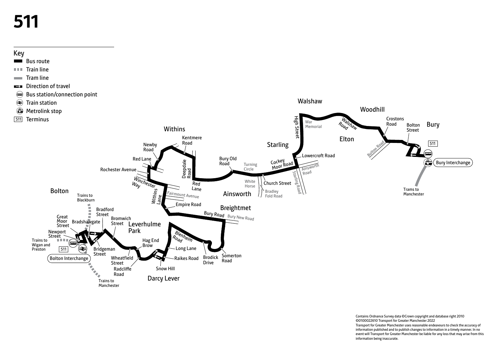# **511**



Contains Ordnance Survey data ©Crown copyright and database right 2010 ©0100022610 Transport for Greater Manchester 2022 Transport for Greater Manchester uses reasonable endeavours to check the accuracy of information published and to publish changes to information in a timely manner. In no event will Transport for Greater Manchester be liable for any loss that may arise from this information being inaccurate.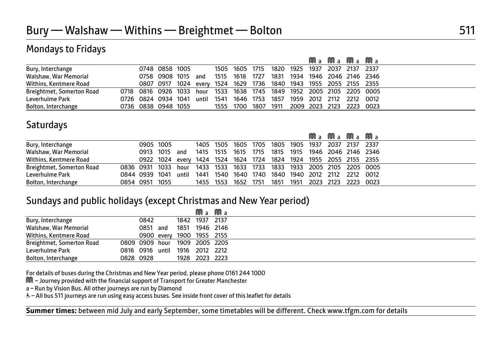## Mondays to Fridays

|                           |                     |                |                                                    |      |                |           |                                         | Ma                       | Ma | Ma Ma |      |
|---------------------------|---------------------|----------------|----------------------------------------------------|------|----------------|-----------|-----------------------------------------|--------------------------|----|-------|------|
| Bury, Interchange         |                     | 0748 0858 1005 |                                                    |      | 1505 1605 1715 |           | 1820 1925 1937 2037 2137 2337           |                          |    |       |      |
| Walshaw, War Memorial     |                     | 0758 0908 1015 | and                                                | 1515 | 1618           | 1727      | 1831 1934 1946 2046 2146 2346           |                          |    |       |      |
| Withins, Kentmere Road    |                     | 0807 0917 1024 | every 1524 1629 1736 1840 1943 1955 2055 2155 2355 |      |                |           |                                         |                          |    |       |      |
| Breightmet, Somerton Road | 0718 0816 0926 1033 |                | hour                                               | 1533 |                |           | 1638 1745 1849 1952 2005 2105 2205 0005 |                          |    |       |      |
| Leverhulme Park           | 0726 0824 0934 1041 |                | until                                              | 1541 | 1646 1753      |           | 1857 1959 2012 2112 2212                |                          |    |       | 0012 |
| Bolton, Interchange       | 0736 0838 0948 1055 |                |                                                    |      | 1555 1700      | 1807 1911 |                                         | 2009 2023 2123 2223 0023 |    |       |      |

## **Saturdays**

|                           |                |           |       |           |           |      |                                                                   |                               | Ma Ma Ma Ma |  |
|---------------------------|----------------|-----------|-------|-----------|-----------|------|-------------------------------------------------------------------|-------------------------------|-------------|--|
| Bury, Interchange         |                | 0905 1005 |       |           |           |      | 1405 1505 1605 1705 1805 1905 1937 2037 2137 2337                 |                               |             |  |
| Walshaw, War Memorial     | 0913 1015      |           | and   | 1415 1515 | 1615      | 1715 | 1815 1915 1946 2046 2146 2346                                     |                               |             |  |
| Withins, Kentmere Road    |                |           |       |           |           |      | 0922 1024 every 1424 1524 1624 1724 1824 1924 1955 2055 2155 2355 |                               |             |  |
| Breightmet, Somerton Road | 0836 0931 1033 |           | hour  |           |           |      | 1433 1533 1633 1733 1833 1933 2005 2105 2205 0005                 |                               |             |  |
| Leverhulme Park           | 0844 0939 1041 |           | until | 1441 1540 |           |      | 1640 1740 1840 1940 2012 2112 2212 0012                           |                               |             |  |
| Bolton, Interchange       | 0854 0951 1055 |           |       | 1455 1553 | 1652 1751 |      |                                                                   | 1851 1951 2023 2123 2223 0023 |             |  |

#### Sundays and public holidays (except Christmas and New Year period)

|                           |           |                                | Ma Ma          |  |
|---------------------------|-----------|--------------------------------|----------------|--|
| Bury, Interchange         | 0842      |                                | 1842 1937 2137 |  |
| Walshaw, War Memorial     | 0851 and  |                                | 1851 1946 2146 |  |
| Withins, Kentmere Road    |           | 0900 every 1900 1955 2155      |                |  |
| Breightmet, Somerton Road |           | 0809 0909 hour 1909 2005 2205  |                |  |
| Leverhulme Park           |           | 0816 0916 until 1916 2012 2212 |                |  |
| Bolton, Interchange       | 0828 0928 |                                | 1928 2023 2223 |  |

For details of buses during the Christmas and New Year period, please phone 0161 244 1000

M – Journey provided with the financial support of Transport for Greater Manchester

a – Run by Vision Bus. All other journeys are run by Diamond

W– All bus 511 journeys are run using easy access buses. See inside front cover of this leaflet for details

**Summer times:** between mid July and early September, some timetables will be different. Check www.tfgm.com for details